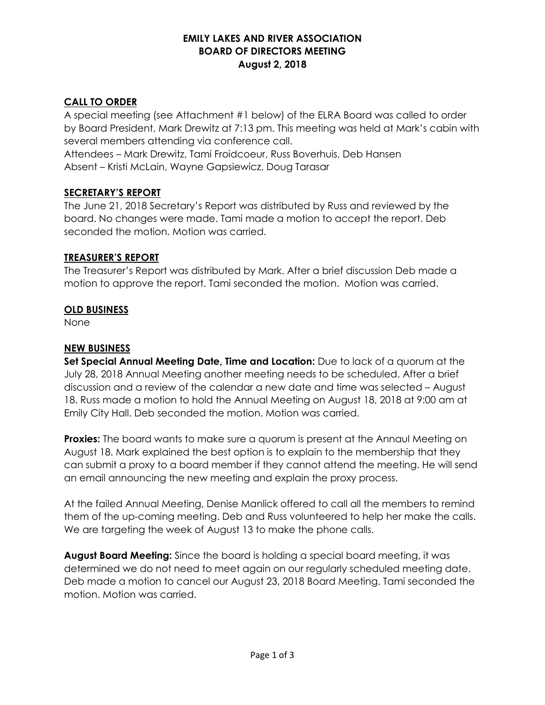# **EMILY LAKES AND RIVER ASSOCIATION BOARD OF DIRECTORS MEETING August 2, 2018**

# **CALL TO ORDER**

A special meeting (see Attachment #1 below) of the ELRA Board was called to order by Board President, Mark Drewitz at 7:13 pm. This meeting was held at Mark's cabin with several members attending via conference call.

Attendees – Mark Drewitz, Tami Froidcoeur, Russ Boverhuis, Deb Hansen Absent – Kristi McLain, Wayne Gapsiewicz, Doug Tarasar

## **SECRETARY'S REPORT**

The June 21, 2018 Secretary's Report was distributed by Russ and reviewed by the board. No changes were made. Tami made a motion to accept the report. Deb seconded the motion. Motion was carried.

## **TREASURER'S REPORT**

The Treasurer's Report was distributed by Mark. After a brief discussion Deb made a motion to approve the report. Tami seconded the motion. Motion was carried.

## **OLD BUSINESS**

None

# **NEW BUSINESS**

**Set Special Annual Meeting Date, Time and Location:** Due to lack of a quorum at the July 28, 2018 Annual Meeting another meeting needs to be scheduled. After a brief discussion and a review of the calendar a new date and time was selected – August 18. Russ made a motion to hold the Annual Meeting on August 18, 2018 at 9:00 am at Emily City Hall. Deb seconded the motion. Motion was carried.

**Proxies:** The board wants to make sure a quorum is present at the Annaul Meeting on August 18. Mark explained the best option is to explain to the membership that they can submit a proxy to a board member if they cannot attend the meeting. He will send an email announcing the new meeting and explain the proxy process.

At the failed Annual Meeting, Denise Manlick offered to call all the members to remind them of the up-coming meeting. Deb and Russ volunteered to help her make the calls. We are targeting the week of August 13 to make the phone calls.

**August Board Meeting:** Since the board is holding a special board meeting, it was determined we do not need to meet again on our regularly scheduled meeting date. Deb made a motion to cancel our August 23, 2018 Board Meeting. Tami seconded the motion. Motion was carried.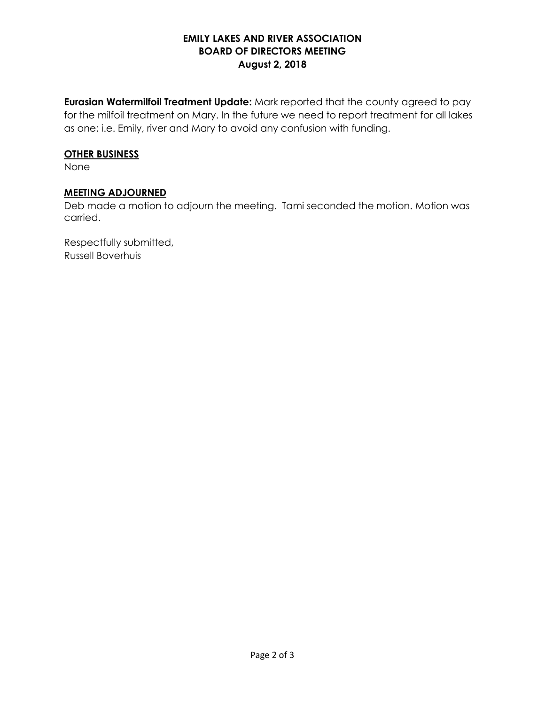# **EMILY LAKES AND RIVER ASSOCIATION BOARD OF DIRECTORS MEETING August 2, 2018**

**Eurasian Watermilfoil Treatment Update:** Mark reported that the county agreed to pay for the milfoil treatment on Mary. In the future we need to report treatment for all lakes as one; i.e. Emily, river and Mary to avoid any confusion with funding.

#### **OTHER BUSINESS**

None

#### **MEETING ADJOURNED**

Deb made a motion to adjourn the meeting. Tami seconded the motion. Motion was carried.

Respectfully submitted, Russell Boverhuis